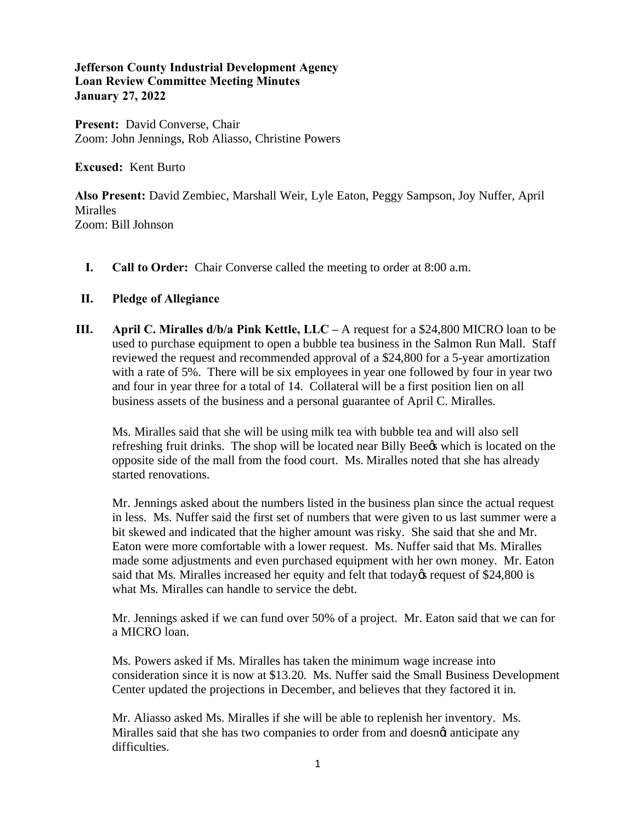## **Jefferson County Industrial Development Agency Loan Review Committee Meeting Minutes January 27, 2022**

**Present:** David Converse, Chair Zoom: John Jennings, Rob Aliasso, Christine Powers

**Excused:** Kent Burto

**Also Present:** David Zembiec, Marshall Weir, Lyle Eaton, Peggy Sampson, Joy Nuffer, April **Miralles** Zoom: Bill Johnson

**I. Call to Order:** Chair Converse called the meeting to order at 8:00 a.m.

## **II. Pledge of Allegiance**

**III. April C. Miralles d/b/a Pink Kettle, LLC –** A request for a \$24,800 MICRO loan to be used to purchase equipment to open a bubble tea business in the Salmon Run Mall. Staff reviewed the request and recommended approval of a \$24,800 for a 5-year amortization with a rate of 5%. There will be six employees in year one followed by four in year two and four in year three for a total of 14. Collateral will be a first position lien on all business assets of the business and a personal guarantee of April C. Miralles.

Ms. Miralles said that she will be using milk tea with bubble tea and will also sell refreshing fruit drinks. The shop will be located near Billy Beegs which is located on the opposite side of the mall from the food court. Ms. Miralles noted that she has already started renovations.

Mr. Jennings asked about the numbers listed in the business plan since the actual request in less. Ms. Nuffer said the first set of numbers that were given to us last summer were a bit skewed and indicated that the higher amount was risky. She said that she and Mr. Eaton were more comfortable with a lower request. Ms. Nuffer said that Ms. Miralles made some adjustments and even purchased equipment with her own money. Mr. Eaton said that Ms. Miralles increased her equity and felt that today is request of \$24,800 is what Ms. Miralles can handle to service the debt.

Mr. Jennings asked if we can fund over 50% of a project. Mr. Eaton said that we can for a MICRO loan.

Ms. Powers asked if Ms. Miralles has taken the minimum wage increase into consideration since it is now at \$13.20. Ms. Nuffer said the Small Business Development Center updated the projections in December, and believes that they factored it in.

Mr. Aliasso asked Ms. Miralles if she will be able to replenish her inventory. Ms. Miralles said that she has two companies to order from and doesnot anticipate any difficulties.